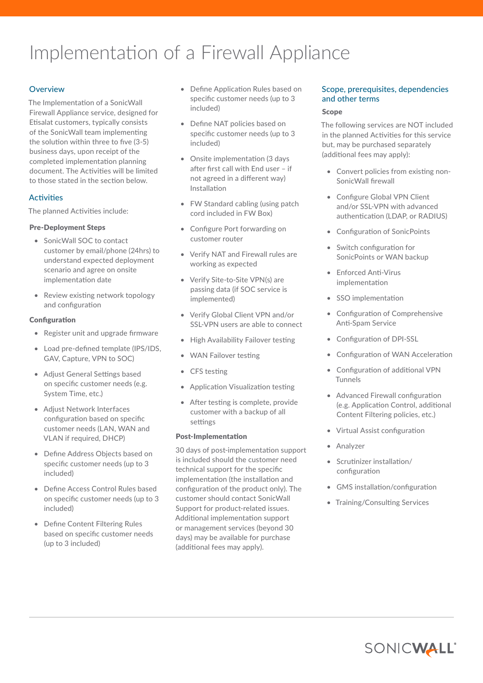# Implementation of a Firewall Appliance

# **Overview**

The Implementation of a SonicWall Firewall Appliance service, designed for Etisalat customers, typically consists of the SonicWall team implementing the solution within three to five (3-5) business days, upon receipt of the completed implementation planning document. The Activities will be limited to those stated in the section below.

# **Activities**

The planned Activities include:

## Pre-Deployment Steps

- SonicWall SOC to contact customer by email/phone (24hrs) to understand expected deployment scenario and agree on onsite implementation date
- Review existing network topology and configuration

## **Configuration**

- Register unit and upgrade firmware
- Load pre-defined template (IPS/IDS, GAV, Capture, VPN to SOC)
- Adjust General Settings based on specific customer needs (e.g. System Time, etc.)
- Adjust Network Interfaces configuration based on specific customer needs (LAN, WAN and VLAN if required, DHCP)
- Define Address Objects based on specific customer needs (up to 3 included)
- Define Access Control Rules based on specific customer needs (up to 3 included)
- Define Content Filtering Rules based on specific customer needs (up to 3 included)
- Define Application Rules based on specific customer needs (up to 3 included)
- Define NAT policies based on specific customer needs (up to 3 included)
- Onsite implementation (3 days after first call with End user – if not agreed in a different way) Installation
- FW Standard cabling (using patch cord included in FW Box)
- Configure Port forwarding on customer router
- Verify NAT and Firewall rules are working as expected
- Verify Site-to-Site VPN(s) are passing data (if SOC service is implemented)
- Verify Global Client VPN and/or SSL-VPN users are able to connect
- High Availability Failover testing
- WAN Failover testing
- CFS testing
- Application Visualization testing
- After testing is complete, provide customer with a backup of all settings

## Post-Implementation

30 days of post-implementation support is included should the customer need technical support for the specific implementation (the installation and configuration of the product only). The customer should contact SonicWall Support for product-related issues. Additional implementation support or management services (beyond 30 days) may be available for purchase (additional fees may apply).

# Scope, prerequisites, dependencies and other terms

## Scope

The following services are NOT included in the planned Activities for this service but, may be purchased separately (additional fees may apply):

- Convert policies from existing non-SonicWall firewall
- Configure Global VPN Client and/or SSL-VPN with advanced authentication (LDAP, or RADIUS)
- Configuration of SonicPoints
- Switch configuration for SonicPoints or WAN backup
- Enforced Anti-Virus implementation
- SSO implementation
- Configuration of Comprehensive Anti-Spam Service
- Configuration of DPI-SSL
- Configuration of WAN Acceleration
- Configuration of additional VPN Tunnels
- Advanced Firewall configuration (e.g. Application Control, additional Content Filtering policies, etc.)
- Virtual Assist configuration
- **Analyzer**
- Scrutinizer installation/ configuration
- GMS installation/configuration
- Training/Consulting Services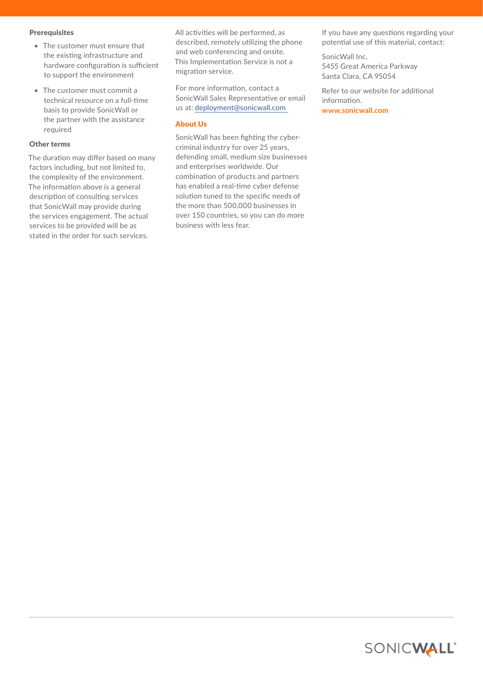#### **Prerequisites**

- The customer must ensure that the existing infrastructure and hardware configuration is sufficient to support the environment
- The customer must commit a technical resource on a full-time basis to provide SonicWall or the partner with the assistance required

### Other terms

The duration may differ based on many factors including, but not limited to, the complexity of the environment. The information above is a general description of consulting services that SonicWall may provide during the services engagement. The actual services to be provided will be as stated in the order for such services.

All activities will be performed, as described, remotely utilizing the phone and web conferencing and onsite. This Implementation Service is not a migration service.

For more information, contact a SonicWall Sales Representative or email us at: [deployment@sonicwall.com](mailto:deployment%40sonicwall.com%20?subject=) 

### About Us

SonicWall has been fighting the cybercriminal industry for over 25 years, defending small, medium size businesses and enterprises worldwide. Our combination of products and partners has enabled a real-time cyber defense solution tuned to the specific needs of the more than 500,000 businesses in over 150 countries, so you can do more business with less fear.

If you have any questions regarding your potential use of this material, contact:

SonicWall Inc. 5455 Great America Parkway Santa Clara, CA 95054

Refer to our website for additional information.

**[www.sonicwall.com](http://www.sonicwall.com)**